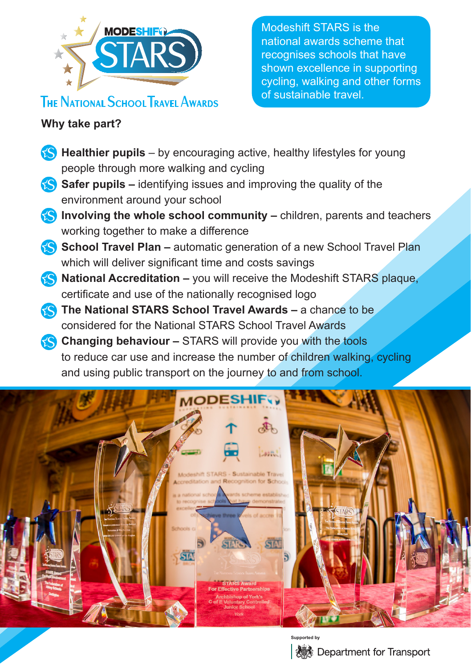

## **THE NATIONAL SCHOOL TRAVEL AWARDS**

Modeshift STARS is the national awards scheme that recognises schools that have shown excellence in supporting cycling, walking and other forms of sustainable travel.

## **Why take part?**

- **•• Healthier pupils** by encouraging active, healthy lifestyles for young people through more walking and cycling
- **Safer pupils –** identifying issues and improving the quality of the environment around your school
- **•• Involving the whole school community –** children, parents and teachers working together to make a difference
- **•• School Travel Plan –** automatic generation of a new School Travel Plan which will deliver significant time and costs savings
- **•• National Accreditation –** you will receive the Modeshift STARS plaque, certificate and use of the nationally recognised logo
- **•• The National STARS School Travel Awards –** a chance to be considered for the National STARS School Travel Awards
- **Changing behaviour –** STARS will provide you with the tools to reduce car use and increase the number of children walking, cycling and using public transport on the journey to and from school.